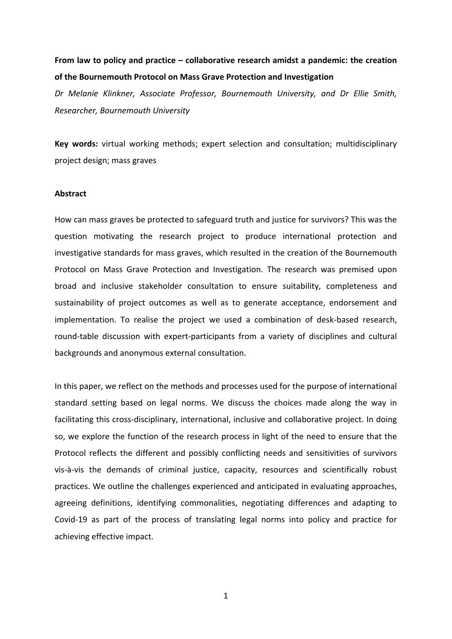# **From law to policy and practice – collaborative research amidst a pandemic: the creation of the Bournemouth Protocol on Mass Grave Protection and Investigation**

*Dr Melanie Klinkner, Associate Professor, Bournemouth University, and Dr Ellie Smith, Researcher, Bournemouth University*

**Key words:** virtual working methods; expert selection and consultation; multidisciplinary project design; mass graves

#### **Abstract**

How can mass graves be protected to safeguard truth and justice for survivors? This was the question motivating the research project to produce international protection and investigative standards for mass graves, which resulted in the creation of the Bournemouth Protocol on Mass Grave Protection and Investigation. The research was premised upon broad and inclusive stakeholder consultation to ensure suitability, completeness and sustainability of project outcomes as well as to generate acceptance, endorsement and implementation. To realise the project we used a combination of desk-based research, round-table discussion with expert-participants from a variety of disciplines and cultural backgrounds and anonymous external consultation.

In this paper, we reflect on the methods and processes used for the purpose of international standard setting based on legal norms. We discuss the choices made along the way in facilitating this cross-disciplinary, international, inclusive and collaborative project. In doing so, we explore the function of the research process in light of the need to ensure that the Protocol reflects the different and possibly conflicting needs and sensitivities of survivors vis-à-vis the demands of criminal justice, capacity, resources and scientifically robust practices. We outline the challenges experienced and anticipated in evaluating approaches, agreeing definitions, identifying commonalities, negotiating differences and adapting to Covid-19 as part of the process of translating legal norms into policy and practice for achieving effective impact.

1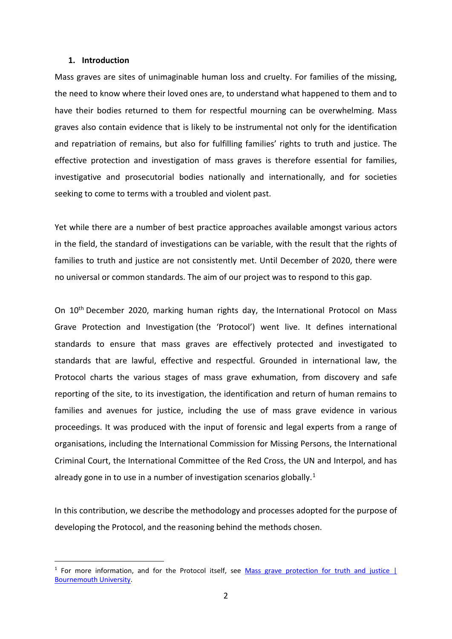#### **1. Introduction**

Mass graves are sites of unimaginable human loss and cruelty. For families of the missing, the need to know where their loved ones are, to understand what happened to them and to have their bodies returned to them for respectful mourning can be overwhelming. Mass graves also contain evidence that is likely to be instrumental not only for the identification and repatriation of remains, but also for fulfilling families' rights to truth and justice. The effective protection and investigation of mass graves is therefore essential for families, investigative and prosecutorial bodies nationally and internationally, and for societies seeking to come to terms with a troubled and violent past.

Yet while there are a number of best practice approaches available amongst various actors in the field, the standard of investigations can be variable, with the result that the rights of families to truth and justice are not consistently met. Until December of 2020, there were no universal or common standards. The aim of our project was to respond to this gap.

On 10<sup>th</sup> December 2020, marking human rights day, the International Protocol on Mass Grave Protection and Investigation (the 'Protocol') went live. It defines international standards to ensure that mass graves are effectively protected and investigated to standards that are lawful, effective and respectful. Grounded in international law, the Protocol charts the various stages of mass grave exhumation, from discovery and safe reporting of the site, to its investigation, the identification and return of human remains to families and avenues for justice, including the use of mass grave evidence in various proceedings. It was produced with the input of forensic and legal experts from a range of organisations, including the International Commission for Missing Persons, the International Criminal Court, the International Committee of the Red Cross, the UN and Interpol, and has already gone in to use in a number of investigation scenarios globally.<sup>[1](#page-1-0)</sup>

In this contribution, we describe the methodology and processes adopted for the purpose of developing the Protocol, and the reasoning behind the methods chosen.

<span id="page-1-0"></span> $1$  For more information, and for the Protocol itself, see Mass grave protection for truth and justice  $|$ [Bournemouth University.](https://www.bournemouth.ac.uk/research/projects/mass-grave-protection-truth-justice)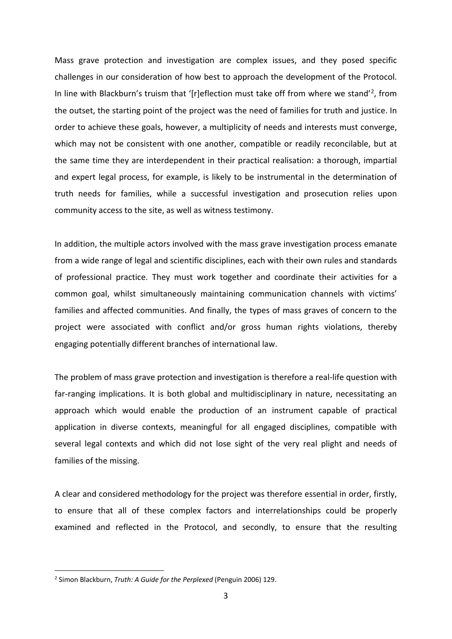Mass grave protection and investigation are complex issues, and they posed specific challenges in our consideration of how best to approach the development of the Protocol. In line with Blackburn's truism that '[r]eflection must take off from where we stand'[2,](#page-2-0) from the outset, the starting point of the project was the need of families for truth and justice. In order to achieve these goals, however, a multiplicity of needs and interests must converge, which may not be consistent with one another, compatible or readily reconcilable, but at the same time they are interdependent in their practical realisation: a thorough, impartial and expert legal process, for example, is likely to be instrumental in the determination of truth needs for families, while a successful investigation and prosecution relies upon community access to the site, as well as witness testimony.

In addition, the multiple actors involved with the mass grave investigation process emanate from a wide range of legal and scientific disciplines, each with their own rules and standards of professional practice. They must work together and coordinate their activities for a common goal, whilst simultaneously maintaining communication channels with victims' families and affected communities. And finally, the types of mass graves of concern to the project were associated with conflict and/or gross human rights violations, thereby engaging potentially different branches of international law.

The problem of mass grave protection and investigation is therefore a real-life question with far-ranging implications. It is both global and multidisciplinary in nature, necessitating an approach which would enable the production of an instrument capable of practical application in diverse contexts, meaningful for all engaged disciplines, compatible with several legal contexts and which did not lose sight of the very real plight and needs of families of the missing.

A clear and considered methodology for the project was therefore essential in order, firstly, to ensure that all of these complex factors and interrelationships could be properly examined and reflected in the Protocol, and secondly, to ensure that the resulting

<span id="page-2-0"></span><sup>2</sup> Simon Blackburn, *Truth: A Guide for the Perplexed* (Penguin 2006) 129.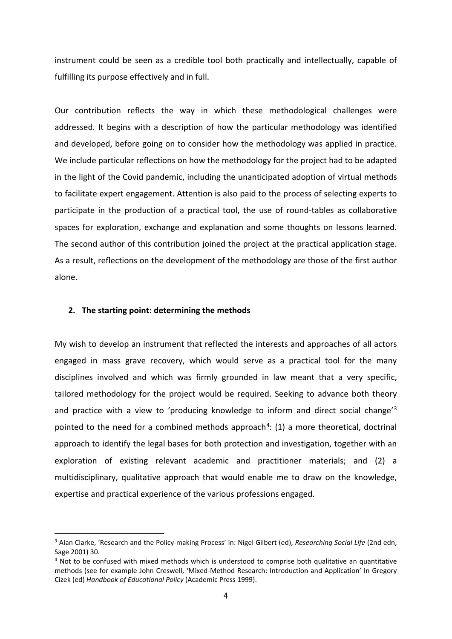instrument could be seen as a credible tool both practically and intellectually, capable of fulfilling its purpose effectively and in full.

Our contribution reflects the way in which these methodological challenges were addressed. It begins with a description of how the particular methodology was identified and developed, before going on to consider how the methodology was applied in practice. We include particular reflections on how the methodology for the project had to be adapted in the light of the Covid pandemic, including the unanticipated adoption of virtual methods to facilitate expert engagement. Attention is also paid to the process of selecting experts to participate in the production of a practical tool, the use of round-tables as collaborative spaces for exploration, exchange and explanation and some thoughts on lessons learned. The second author of this contribution joined the project at the practical application stage. As a result, reflections on the development of the methodology are those of the first author alone.

# **2. The starting point: determining the methods**

My wish to develop an instrument that reflected the interests and approaches of all actors engaged in mass grave recovery, which would serve as a practical tool for the many disciplines involved and which was firmly grounded in law meant that a very specific, tailored methodology for the project would be required. Seeking to advance both theory and practice with a view to 'producing knowledge to inform and direct social change'[3](#page-3-0) pointed to the need for a combined methods approach<sup>[4](#page-3-1)</sup>: (1) a more theoretical, doctrinal approach to identify the legal bases for both protection and investigation, together with an exploration of existing relevant academic and practitioner materials; and (2) a multidisciplinary, qualitative approach that would enable me to draw on the knowledge, expertise and practical experience of the various professions engaged.

<span id="page-3-0"></span><sup>3</sup> Alan Clarke, 'Research and the Policy-making Process' in: Nigel Gilbert (ed), *Researching Social Life* (2nd edn, Sage 2001) 30.

<span id="page-3-1"></span><sup>4</sup> Not to be confused with mixed methods which is understood to comprise both qualitative an quantitative methods (see for example John Creswell, 'Mixed-Method Research: Introduction and Application' In Gregory Cizek (ed) *Handbook of Educational Policy* (Academic Press 1999).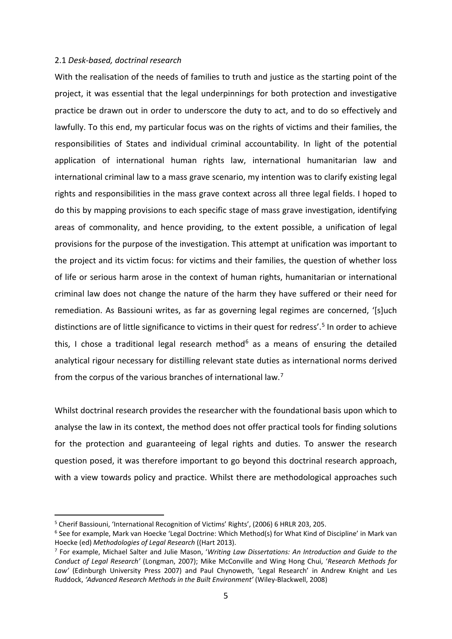## 2.1 *Desk-based, doctrinal research*

With the realisation of the needs of families to truth and justice as the starting point of the project, it was essential that the legal underpinnings for both protection and investigative practice be drawn out in order to underscore the duty to act, and to do so effectively and lawfully. To this end, my particular focus was on the rights of victims and their families, the responsibilities of States and individual criminal accountability. In light of the potential application of international human rights law, international humanitarian law and international criminal law to a mass grave scenario, my intention was to clarify existing legal rights and responsibilities in the mass grave context across all three legal fields. I hoped to do this by mapping provisions to each specific stage of mass grave investigation, identifying areas of commonality, and hence providing, to the extent possible, a unification of legal provisions for the purpose of the investigation. This attempt at unification was important to the project and its victim focus: for victims and their families, the question of whether loss of life or serious harm arose in the context of human rights, humanitarian or international criminal law does not change the nature of the harm they have suffered or their need for remediation. As Bassiouni writes, as far as governing legal regimes are concerned, '[s]uch distinctions are of little significance to victims in their quest for redress'. [5](#page-4-0) In order to achieve this, I chose a traditional legal research method<sup>[6](#page-4-1)</sup> as a means of ensuring the detailed analytical rigour necessary for distilling relevant state duties as international norms derived from the corpus of the various branches of international law.<sup>[7](#page-4-2)</sup>

Whilst doctrinal research provides the researcher with the foundational basis upon which to analyse the law in its context, the method does not offer practical tools for finding solutions for the protection and guaranteeing of legal rights and duties. To answer the research question posed, it was therefore important to go beyond this doctrinal research approach, with a view towards policy and practice. Whilst there are methodological approaches such

<span id="page-4-0"></span><sup>5</sup> Cherif Bassiouni, 'International Recognition of Victims' Rights', (2006) 6 HRLR 203, 205.

<span id="page-4-1"></span><sup>6</sup> See for example, Mark van Hoecke 'Legal Doctrine: Which Method(s) for What Kind of Discipline' in Mark van Hoecke (ed) *Methodologies of Legal Research* ((Hart 2013).<br><sup>7</sup> For example, Michael Salter and Julie Mason, 'Writing Law Dissertations: An Introduction and Guide to the

<span id="page-4-2"></span>*Conduct of Legal Research'* (Longman, 2007); Mike McConville and Wing Hong Chui, '*Research Methods for Law'* (Edinburgh University Press 2007) and Paul Chynoweth, 'Legal Research' in Andrew Knight and Les Ruddock, *'Advanced Research Methods in the Built Environment'* (Wiley-Blackwell, 2008)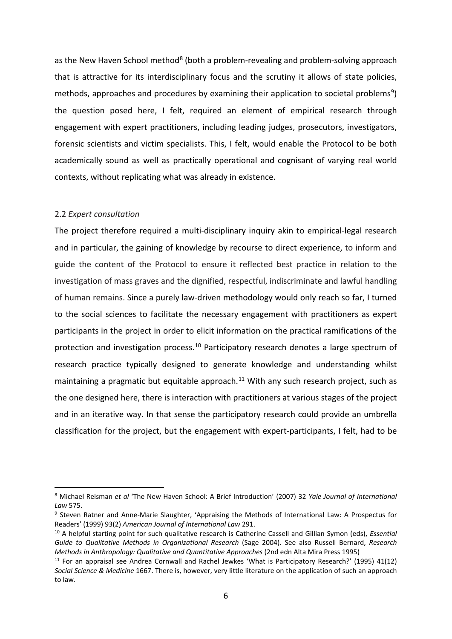as the New Haven School method<sup>[8](#page-5-0)</sup> (both a problem-revealing and problem-solving approach that is attractive for its interdisciplinary focus and the scrutiny it allows of state policies, methods, approaches and procedures by examining their application to societal problems<sup>[9](#page-5-1)</sup>) the question posed here, I felt, required an element of empirical research through engagement with expert practitioners, including leading judges, prosecutors, investigators, forensic scientists and victim specialists. This, I felt, would enable the Protocol to be both academically sound as well as practically operational and cognisant of varying real world contexts, without replicating what was already in existence.

#### 2.2 *Expert consultation*

The project therefore required a multi-disciplinary inquiry akin to empirical-legal research and in particular, the gaining of knowledge by recourse to direct experience, to inform and guide the content of the Protocol to ensure it reflected best practice in relation to the investigation of mass graves and the dignified, respectful, indiscriminate and lawful handling of human remains. Since a purely law-driven methodology would only reach so far, I turned to the social sciences to facilitate the necessary engagement with practitioners as expert participants in the project in order to elicit information on the practical ramifications of the protection and investigation process.<sup>[10](#page-5-2)</sup> Participatory research denotes a large spectrum of research practice typically designed to generate knowledge and understanding whilst maintaining a pragmatic but equitable approach.<sup>[11](#page-5-3)</sup> With any such research project, such as the one designed here, there is interaction with practitioners at various stages of the project and in an iterative way. In that sense the participatory research could provide an umbrella classification for the project, but the engagement with expert-participants, I felt, had to be

<span id="page-5-0"></span><sup>8</sup> Michael Reisman *et al* 'The New Haven School: A Brief Introduction' (2007) 32 *Yale Journal of International Law* 575.

<span id="page-5-1"></span><sup>9</sup> Steven Ratner and Anne-Marie Slaughter, 'Appraising the Methods of International Law: A Prospectus for Readers' (1999) 93(2) *American Journal of International Law* 291.

<span id="page-5-2"></span><sup>10</sup> A helpful starting point for such qualitative research is Catherine Cassell and Gillian Symon (eds), *Essential Guide to Qualitative Methods in Organizational Research* (Sage 2004). See also Russell Bernard, *Research Methods in Anthropology: Qualitative and Quantitative Approaches* (2nd edn Alta Mira Press 1995)

<span id="page-5-3"></span><sup>11</sup> For an appraisal see Andrea Cornwall and Rachel Jewkes 'What is Participatory Research?' (1995) 41(12) *Social Science & Medicine* 1667. There is, however, very little literature on the application of such an approach to law.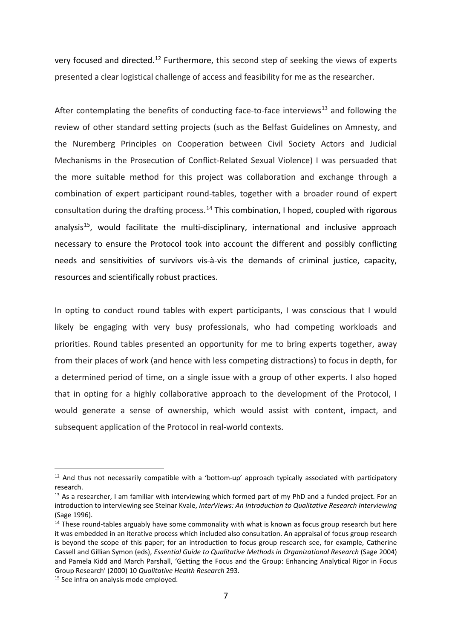very focused and directed.<sup>[12](#page-6-0)</sup> Furthermore, this second step of seeking the views of experts presented a clear logistical challenge of access and feasibility for me as the researcher.

After contemplating the benefits of conducting face-to-face interviews<sup>[13](#page-6-1)</sup> and following the review of other standard setting projects (such as the Belfast Guidelines on Amnesty, and the Nuremberg Principles on Cooperation between Civil Society Actors and Judicial Mechanisms in the Prosecution of Conflict-Related Sexual Violence) I was persuaded that the more suitable method for this project was collaboration and exchange through a combination of expert participant round-tables, together with a broader round of expert consultation during the drafting process.<sup>[14](#page-6-2)</sup> This combination, I hoped, coupled with rigorous analysis<sup>15</sup>, would facilitate the multi-disciplinary, international and inclusive approach necessary to ensure the Protocol took into account the different and possibly conflicting needs and sensitivities of survivors vis-à-vis the demands of criminal justice, capacity, resources and scientifically robust practices.

In opting to conduct round tables with expert participants, I was conscious that I would likely be engaging with very busy professionals, who had competing workloads and priorities. Round tables presented an opportunity for me to bring experts together, away from their places of work (and hence with less competing distractions) to focus in depth, for a determined period of time, on a single issue with a group of other experts. I also hoped that in opting for a highly collaborative approach to the development of the Protocol, I would generate a sense of ownership, which would assist with content, impact, and subsequent application of the Protocol in real-world contexts.

<span id="page-6-0"></span> $12$  And thus not necessarily compatible with a 'bottom-up' approach typically associated with participatory research.

<span id="page-6-1"></span> $13$  As a researcher, I am familiar with interviewing which formed part of my PhD and a funded project. For an introduction to interviewing see Steinar Kvale, *InterViews: An Introduction to Qualitative Research Interviewing* (Sage 1996).

<span id="page-6-2"></span><sup>&</sup>lt;sup>14</sup> These round-tables arguably have some commonality with what is known as focus group research but here it was embedded in an iterative process which included also consultation. An appraisal of focus group research is beyond the scope of this paper; for an introduction to focus group research see, for example, Catherine Cassell and Gillian Symon (eds), *Essential Guide to Qualitative Methods in Organizational Research* (Sage 2004) and Pamela Kidd and March Parshall, 'Getting the Focus and the Group: Enhancing Analytical Rigor in Focus Group Research' (2000) 10 *Qualitative Health Research* 293.

<span id="page-6-3"></span><sup>&</sup>lt;sup>15</sup> See infra on analysis mode employed.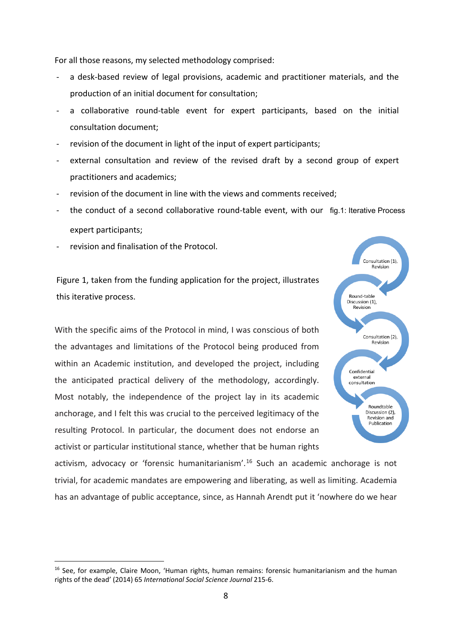For all those reasons, my selected methodology comprised:

- a desk-based review of legal provisions, academic and practitioner materials, and the production of an initial document for consultation;
- a collaborative round-table event for expert participants, based on the initial consultation document;
- revision of the document in light of the input of expert participants;
- external consultation and review of the revised draft by a second group of expert practitioners and academics;
- revision of the document in line with the views and comments received;
- the conduct of a second collaborative round-table event, with our fig.1: Iterative Process expert participants;
- revision and finalisation of the Protocol.

Figure 1, taken from the funding application for the project, illustrates this iterative process.

With the specific aims of the Protocol in mind, I was conscious of both the advantages and limitations of the Protocol being produced from within an Academic institution, and developed the project, including the anticipated practical delivery of the methodology, accordingly. Most notably, the independence of the project lay in its academic anchorage, and I felt this was crucial to the perceived legitimacy of the resulting Protocol. In particular, the document does not endorse an activist or particular institutional stance, whether that be human rights



activism, advocacy or 'forensic humanitarianism'. [16](#page-7-0) Such an academic anchorage is not trivial, for academic mandates are empowering and liberating, as well as limiting. Academia has an advantage of public acceptance, since, as Hannah Arendt put it 'nowhere do we hear

<span id="page-7-0"></span><sup>16</sup> See, for example, Claire Moon, 'Human rights, human remains: forensic humanitarianism and the human rights of the dead' (2014) 65 *International Social Science Journal* 215-6.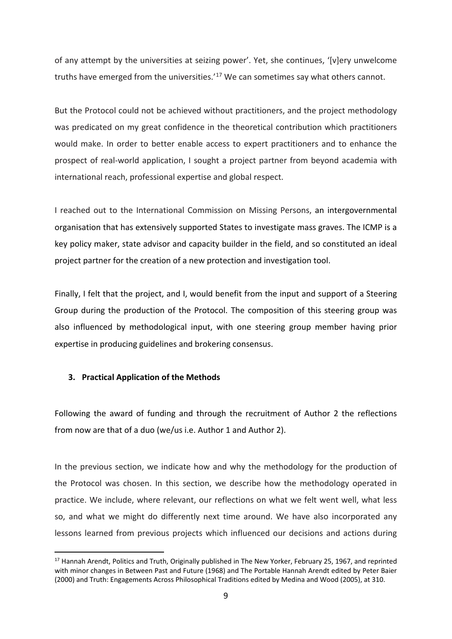of any attempt by the universities at seizing power'. Yet, she continues, '[v]ery unwelcome truths have emerged from the universities.'<sup>[17](#page-8-0)</sup> We can sometimes say what others cannot.

But the Protocol could not be achieved without practitioners, and the project methodology was predicated on my great confidence in the theoretical contribution which practitioners would make. In order to better enable access to expert practitioners and to enhance the prospect of real-world application, I sought a project partner from beyond academia with international reach, professional expertise and global respect.

I reached out to the International Commission on Missing Persons, an intergovernmental organisation that has extensively supported States to investigate mass graves. The ICMP is a key policy maker, state advisor and capacity builder in the field, and so constituted an ideal project partner for the creation of a new protection and investigation tool.

Finally, I felt that the project, and I, would benefit from the input and support of a Steering Group during the production of the Protocol. The composition of this steering group was also influenced by methodological input, with one steering group member having prior expertise in producing guidelines and brokering consensus.

# **3. Practical Application of the Methods**

Following the award of funding and through the recruitment of Author 2 the reflections from now are that of a duo (we/us i.e. Author 1 and Author 2).

In the previous section, we indicate how and why the methodology for the production of the Protocol was chosen. In this section, we describe how the methodology operated in practice. We include, where relevant, our reflections on what we felt went well, what less so, and what we might do differently next time around. We have also incorporated any lessons learned from previous projects which influenced our decisions and actions during

<span id="page-8-0"></span><sup>&</sup>lt;sup>17</sup> Hannah Arendt, Politics and Truth, Originally published in The New Yorker, February 25, 1967, and reprinted with minor changes in Between Past and Future (1968) and The Portable Hannah Arendt edited by Peter Baier (2000) and Truth: Engagements Across Philosophical Traditions edited by Medina and Wood (2005), at 310.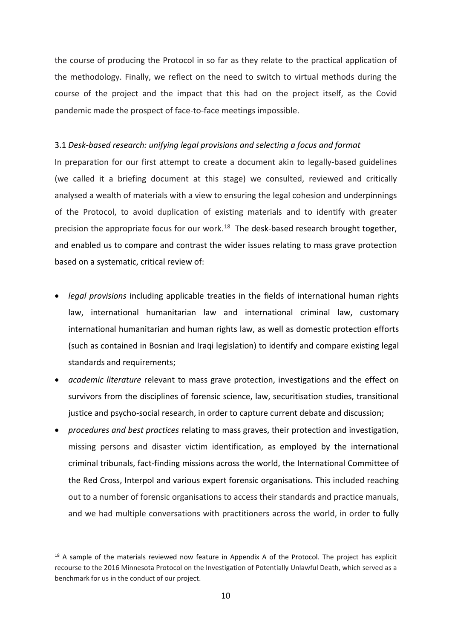the course of producing the Protocol in so far as they relate to the practical application of the methodology. Finally, we reflect on the need to switch to virtual methods during the course of the project and the impact that this had on the project itself, as the Covid pandemic made the prospect of face-to-face meetings impossible.

# 3.1 *Desk-based research: unifying legal provisions and selecting a focus and format*

In preparation for our first attempt to create a document akin to legally-based guidelines (we called it a briefing document at this stage) we consulted, reviewed and critically analysed a wealth of materials with a view to ensuring the legal cohesion and underpinnings of the Protocol, to avoid duplication of existing materials and to identify with greater precision the appropriate focus for our work.<sup>[18](#page-9-0)</sup> The desk-based research brought together, and enabled us to compare and contrast the wider issues relating to mass grave protection based on a systematic, critical review of:

- *legal provisions* including applicable treaties in the fields of international human rights law, international humanitarian law and international criminal law, customary international humanitarian and human rights law, as well as domestic protection efforts (such as contained in Bosnian and Iraqi legislation) to identify and compare existing legal standards and requirements;
- *academic literature* relevant to mass grave protection, investigations and the effect on survivors from the disciplines of forensic science, law, securitisation studies, transitional justice and psycho-social research, in order to capture current debate and discussion;
- *procedures and best practices* relating to mass graves, their protection and investigation, missing persons and disaster victim identification, as employed by the international criminal tribunals, fact-finding missions across the world, the International Committee of the Red Cross, Interpol and various expert forensic organisations. This included reaching out to a number of forensic organisations to access their standards and practice manuals, and we had multiple conversations with practitioners across the world, in order to fully

<span id="page-9-0"></span><sup>&</sup>lt;sup>18</sup> A sample of the materials reviewed now feature in Appendix A of the Protocol. The project has explicit recourse to the 2016 Minnesota Protocol on the Investigation of Potentially Unlawful Death, which served as a benchmark for us in the conduct of our project.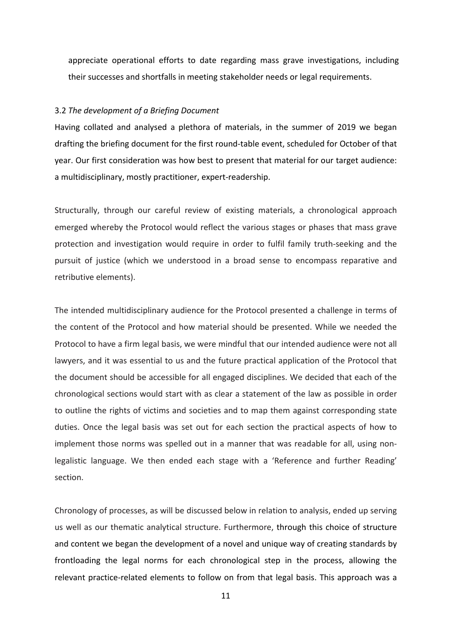appreciate operational efforts to date regarding mass grave investigations, including their successes and shortfalls in meeting stakeholder needs or legal requirements.

#### 3.2 *The development of a Briefing Document*

Having collated and analysed a plethora of materials, in the summer of 2019 we began drafting the briefing document for the first round-table event, scheduled for October of that year. Our first consideration was how best to present that material for our target audience: a multidisciplinary, mostly practitioner, expert-readership.

Structurally, through our careful review of existing materials, a chronological approach emerged whereby the Protocol would reflect the various stages or phases that mass grave protection and investigation would require in order to fulfil family truth-seeking and the pursuit of justice (which we understood in a broad sense to encompass reparative and retributive elements).

The intended multidisciplinary audience for the Protocol presented a challenge in terms of the content of the Protocol and how material should be presented. While we needed the Protocol to have a firm legal basis, we were mindful that our intended audience were not all lawyers, and it was essential to us and the future practical application of the Protocol that the document should be accessible for all engaged disciplines. We decided that each of the chronological sections would start with as clear a statement of the law as possible in order to outline the rights of victims and societies and to map them against corresponding state duties. Once the legal basis was set out for each section the practical aspects of how to implement those norms was spelled out in a manner that was readable for all, using nonlegalistic language. We then ended each stage with a 'Reference and further Reading' section.

Chronology of processes, as will be discussed below in relation to analysis, ended up serving us well as our thematic analytical structure. Furthermore, through this choice of structure and content we began the development of a novel and unique way of creating standards by frontloading the legal norms for each chronological step in the process, allowing the relevant practice-related elements to follow on from that legal basis. This approach was a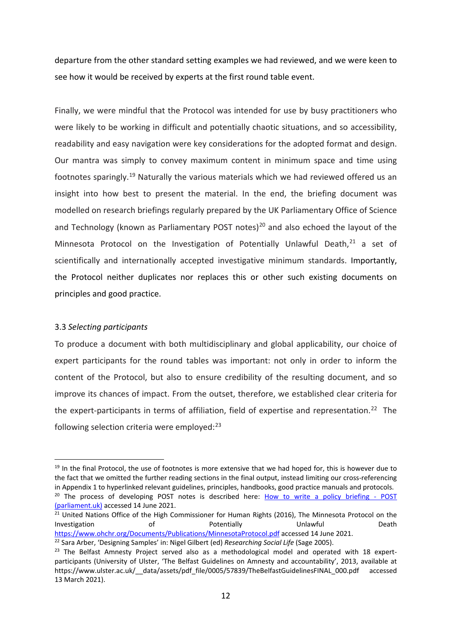departure from the other standard setting examples we had reviewed, and we were keen to see how it would be received by experts at the first round table event.

Finally, we were mindful that the Protocol was intended for use by busy practitioners who were likely to be working in difficult and potentially chaotic situations, and so accessibility, readability and easy navigation were key considerations for the adopted format and design. Our mantra was simply to convey maximum content in minimum space and time using footnotes sparingly.[19](#page-11-0) Naturally the various materials which we had reviewed offered us an insight into how best to present the material. In the end, the briefing document was modelled on research briefings regularly prepared by the UK Parliamentary Office of Science and Technology (known as Parliamentary POST notes)<sup>[20](#page-11-1)</sup> and also echoed the layout of the Minnesota Protocol on the Investigation of Potentially Unlawful Death, $21$  a set of scientifically and internationally accepted investigative minimum standards. Importantly, the Protocol neither duplicates nor replaces this or other such existing documents on principles and good practice.

# 3.3 *Selecting participants*

To produce a document with both multidisciplinary and global applicability, our choice of expert participants for the round tables was important: not only in order to inform the content of the Protocol, but also to ensure credibility of the resulting document, and so improve its chances of impact. From the outset, therefore, we established clear criteria for the expert-participants in terms of affiliation, field of expertise and representation.<sup>[22](#page-11-3)</sup> The following selection criteria were employed:<sup>[23](#page-11-4)</sup>

<span id="page-11-0"></span><sup>&</sup>lt;sup>19</sup> In the final Protocol, the use of footnotes is more extensive that we had hoped for, this is however due to the fact that we omitted the further reading sections in the final output, instead limiting our cross-referencing in Appendix 1 to hyperlinked relevant guidelines, principles, handbooks, good practice manuals and protocols.<br><sup>20</sup> The process of developing POST notes is described here: [How to write a policy briefing -](https://post.parliament.uk/how-to-write-a-policy-briefing/#:%7E:text=POSTnotes%20help%20Members%20of%20the%20House%20of%20Commons,horizon%20scanning%20undertaken%20by%20our%20team%20of%20advisers.) POST

<span id="page-11-1"></span>[<sup>\(</sup>parliament.uk\)](https://post.parliament.uk/how-to-write-a-policy-briefing/#:%7E:text=POSTnotes%20help%20Members%20of%20the%20House%20of%20Commons,horizon%20scanning%20undertaken%20by%20our%20team%20of%20advisers.) accessed 14 June 2021.

<span id="page-11-2"></span><sup>&</sup>lt;sup>21</sup> United Nations Office of the High Commissioner for Human Rights (2016), The Minnesota Protocol on the Investigation of **Potentially** Unlawful Death <https://www.ohchr.org/Documents/Publications/MinnesotaProtocol.pdf> accessed 14 June 2021. <sup>22</sup> Sara Arber, 'Designing Samples' in: Nigel Gilbert (ed) *Researching Social Life* (Sage 2005).

<span id="page-11-4"></span><span id="page-11-3"></span><sup>&</sup>lt;sup>23</sup> The Belfast Amnesty Project served also as a methodological model and operated with 18 expertparticipants (University of Ulster, 'The Belfast Guidelines on Amnesty and accountability', 2013, available a[t](https://www.ulster.ac.uk/__data/assets/pdf_file/0005/57839/TheBelfastGuidelinesFINAL_000.pdf) [https://www.ulster.ac.uk/\\_\\_data/assets/pdf\\_file/0005/57839/TheBelfastGuidelinesFINAL\\_000.pdf](https://www.ulster.ac.uk/__data/assets/pdf_file/0005/57839/TheBelfastGuidelinesFINAL_000.pdf) accessed 13 March 2021).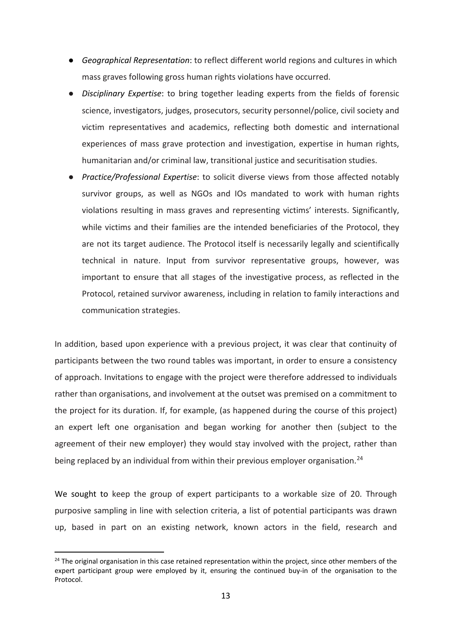- *Geographical Representation*: to reflect different world regions and cultures in which mass graves following gross human rights violations have occurred.
- **Disciplinary Expertise:** to bring together leading experts from the fields of forensic science, investigators, judges, prosecutors, security personnel/police, civil society and victim representatives and academics, reflecting both domestic and international experiences of mass grave protection and investigation, expertise in human rights, humanitarian and/or criminal law, transitional justice and securitisation studies.
- *Practice/Professional Expertise*: to solicit diverse views from those affected notably survivor groups, as well as NGOs and IOs mandated to work with human rights violations resulting in mass graves and representing victims' interests. Significantly, while victims and their families are the intended beneficiaries of the Protocol, they are not its target audience. The Protocol itself is necessarily legally and scientifically technical in nature. Input from survivor representative groups, however, was important to ensure that all stages of the investigative process, as reflected in the Protocol, retained survivor awareness, including in relation to family interactions and communication strategies.

In addition, based upon experience with a previous project, it was clear that continuity of participants between the two round tables was important, in order to ensure a consistency of approach. Invitations to engage with the project were therefore addressed to individuals rather than organisations, and involvement at the outset was premised on a commitment to the project for its duration. If, for example, (as happened during the course of this project) an expert left one organisation and began working for another then (subject to the agreement of their new employer) they would stay involved with the project, rather than being replaced by an individual from within their previous employer organisation.<sup>[24](#page-12-0)</sup>

We sought to keep the group of expert participants to a workable size of 20. Through purposive sampling in line with selection criteria, a list of potential participants was drawn up, based in part on an existing network, known actors in the field, research and

<span id="page-12-0"></span> $24$  The original organisation in this case retained representation within the project, since other members of the expert participant group were employed by it, ensuring the continued buy-in of the organisation to the Protocol.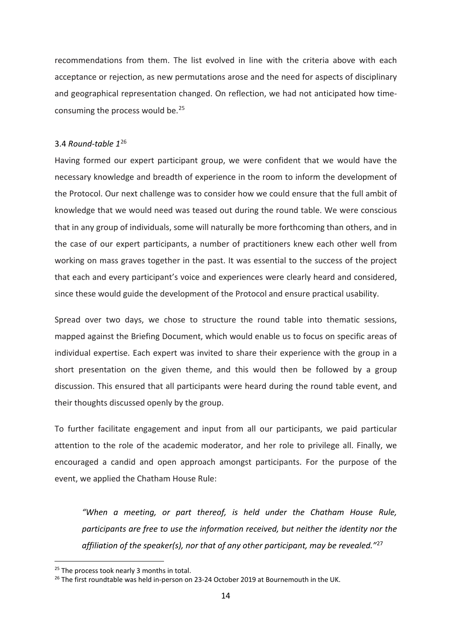recommendations from them. The list evolved in line with the criteria above with each acceptance or rejection, as new permutations arose and the need for aspects of disciplinary and geographical representation changed. On reflection, we had not anticipated how timeconsuming the process would be.[25](#page-13-0)

## 3.4 *Round-table 1*[26](#page-13-1)

Having formed our expert participant group, we were confident that we would have the necessary knowledge and breadth of experience in the room to inform the development of the Protocol. Our next challenge was to consider how we could ensure that the full ambit of knowledge that we would need was teased out during the round table. We were conscious that in any group of individuals, some will naturally be more forthcoming than others, and in the case of our expert participants, a number of practitioners knew each other well from working on mass graves together in the past. It was essential to the success of the project that each and every participant's voice and experiences were clearly heard and considered, since these would guide the development of the Protocol and ensure practical usability.

Spread over two days, we chose to structure the round table into thematic sessions, mapped against the Briefing Document, which would enable us to focus on specific areas of individual expertise. Each expert was invited to share their experience with the group in a short presentation on the given theme, and this would then be followed by a group discussion. This ensured that all participants were heard during the round table event, and their thoughts discussed openly by the group.

To further facilitate engagement and input from all our participants, we paid particular attention to the role of the academic moderator, and her role to privilege all. Finally, we encouraged a candid and open approach amongst participants. For the purpose of the event, we applied the Chatham House Rule:

<span id="page-13-2"></span>*"When a meeting, or part thereof, is held under the Chatham House Rule, participants are free to use the information received, but neither the identity nor the affiliation of the speaker(s), nor that of any other participant, may be revealed."*[27](#page-13-2)

<span id="page-13-0"></span><sup>&</sup>lt;sup>25</sup> The process took nearly 3 months in total.

<span id="page-13-1"></span> $26$  The first roundtable was held in-person on 23-24 October 2019 at Bournemouth in the UK.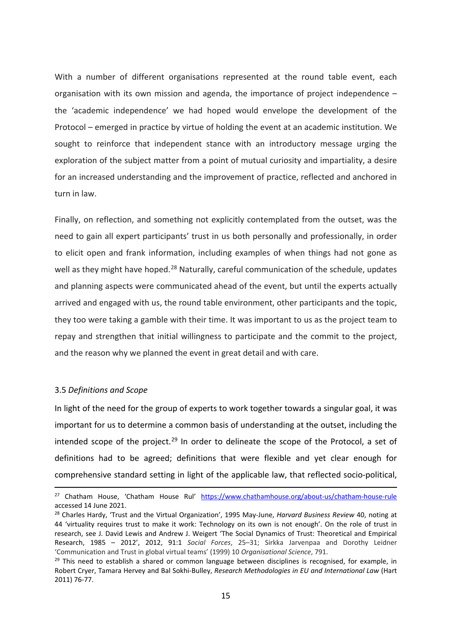With a number of different organisations represented at the round table event, each organisation with its own mission and agenda, the importance of project independence – the 'academic independence' we had hoped would envelope the development of the Protocol – emerged in practice by virtue of holding the event at an academic institution. We sought to reinforce that independent stance with an introductory message urging the exploration of the subject matter from a point of mutual curiosity and impartiality, a desire for an increased understanding and the improvement of practice, reflected and anchored in turn in law.

Finally, on reflection, and something not explicitly contemplated from the outset, was the need to gain all expert participants' trust in us both personally and professionally, in order to elicit open and frank information, including examples of when things had not gone as well as they might have hoped.<sup>[28](#page-14-0)</sup> Naturally, careful communication of the schedule, updates and planning aspects were communicated ahead of the event, but until the experts actually arrived and engaged with us, the round table environment, other participants and the topic, they too were taking a gamble with their time. It was important to us as the project team to repay and strengthen that initial willingness to participate and the commit to the project, and the reason why we planned the event in great detail and with care.

#### 3.5 *Definitions and Scope*

In light of the need for the group of experts to work together towards a singular goal, it was important for us to determine a common basis of understanding at the outset, including the intended scope of the project.<sup>[29](#page-14-1)</sup> In order to delineate the scope of the Protocol, a set of definitions had to be agreed; definitions that were flexible and yet clear enough for comprehensive standard setting in light of the applicable law, that reflected socio-political,

<sup>&</sup>lt;sup>27</sup> Chatham House, 'Chatham House Rul' <https://www.chathamhouse.org/about-us/chatham-house-rule> accessed 14 June 2021.

<span id="page-14-0"></span><sup>28</sup> Charles Hardy, 'Trust and the Virtual Organization', 1995 May-June, *Harvard Business Review* 40, noting at 44 'virtuality requires trust to make it work: Technology on its own is not enough'. On the role of trust in research, see J. David Lewis and Andrew J. Weigert 'The Social Dynamics of Trust: Theoretical and Empirical Research, 1985 – 2012', 2012, 91:1 *Social Forces*, 25–31; Sirkka Jarvenpaa and Dorothy Leidner 'Communication and Trust in global virtual teams' (1999) 10 *Organisational Science*, 791.

<span id="page-14-1"></span> $29$  This need to establish a shared or common language between disciplines is recognised, for example, in Robert Cryer, Tamara Hervey and Bal Sokhi-Bulley, *Research Methodologies in EU and International Law* (Hart 2011) 76-77.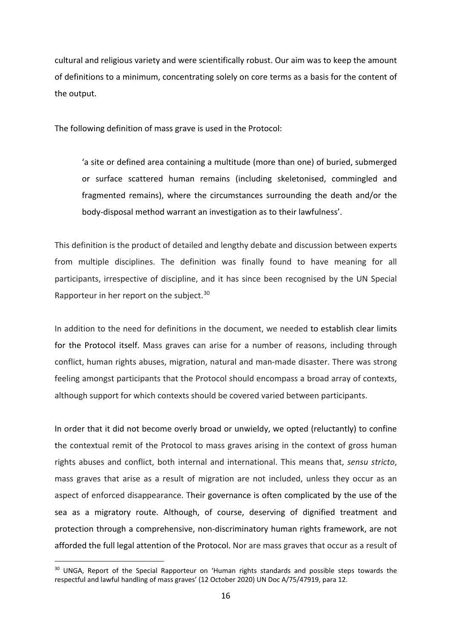cultural and religious variety and were scientifically robust. Our aim was to keep the amount of definitions to a minimum, concentrating solely on core terms as a basis for the content of the output.

The following definition of mass grave is used in the Protocol:

'a site or defined area containing a multitude (more than one) of buried, submerged or surface scattered human remains (including skeletonised, commingled and fragmented remains), where the circumstances surrounding the death and/or the body-disposal method warrant an investigation as to their lawfulness'.

This definition is the product of detailed and lengthy debate and discussion between experts from multiple disciplines. The definition was finally found to have meaning for all participants, irrespective of discipline, and it has since been recognised by the UN Special Rapporteur in her report on the subject.<sup>[30](#page-15-0)</sup>

In addition to the need for definitions in the document, we needed to establish clear limits for the Protocol itself. Mass graves can arise for a number of reasons, including through conflict, human rights abuses, migration, natural and man-made disaster. There was strong feeling amongst participants that the Protocol should encompass a broad array of contexts, although support for which contexts should be covered varied between participants.

In order that it did not become overly broad or unwieldy, we opted (reluctantly) to confine the contextual remit of the Protocol to mass graves arising in the context of gross human rights abuses and conflict, both internal and international. This means that, *sensu stricto*, mass graves that arise as a result of migration are not included, unless they occur as an aspect of enforced disappearance. Their governance is often complicated by the use of the sea as a migratory route. Although, of course, deserving of dignified treatment and protection through a comprehensive, non-discriminatory human rights framework, are not afforded the full legal attention of the Protocol. Nor are mass graves that occur as a result of

<span id="page-15-0"></span><sup>&</sup>lt;sup>30</sup> UNGA, Report of the Special Rapporteur on 'Human rights standards and possible steps towards the respectful and lawful handling of mass graves' (12 October 2020) UN Doc A/75/47919, para 12.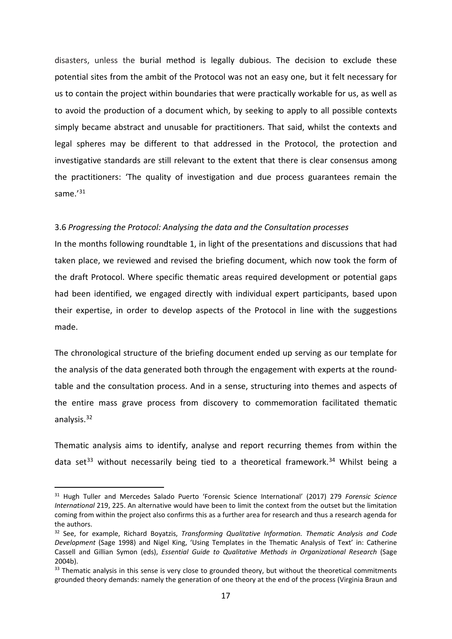disasters, unless the burial method is legally dubious. The decision to exclude these potential sites from the ambit of the Protocol was not an easy one, but it felt necessary for us to contain the project within boundaries that were practically workable for us, as well as to avoid the production of a document which, by seeking to apply to all possible contexts simply became abstract and unusable for practitioners. That said, whilst the contexts and legal spheres may be different to that addressed in the Protocol, the protection and investigative standards are still relevant to the extent that there is clear consensus among the practitioners: 'The quality of investigation and due process guarantees remain the same.'<sup>[31](#page-16-0)</sup>

#### 3.6 *Progressing the Protocol: Analysing the data and the Consultation processes*

In the months following roundtable 1, in light of the presentations and discussions that had taken place, we reviewed and revised the briefing document, which now took the form of the draft Protocol. Where specific thematic areas required development or potential gaps had been identified, we engaged directly with individual expert participants, based upon their expertise, in order to develop aspects of the Protocol in line with the suggestions made.

The chronological structure of the briefing document ended up serving as our template for the analysis of the data generated both through the engagement with experts at the roundtable and the consultation process. And in a sense, structuring into themes and aspects of the entire mass grave process from discovery to commemoration facilitated thematic analysis. [32](#page-16-1)

Thematic analysis aims to identify, analyse and report recurring themes from within the data set<sup>[33](#page-16-2)</sup> without necessarily being tied to a theoretical framework.<sup>[34](#page-16-3)</sup> Whilst being a

<span id="page-16-0"></span><sup>31</sup> Hugh Tuller and Mercedes Salado Puerto 'Forensic Science International' (2017) 279 *Forensic Science International* 219, 225. An alternative would have been to limit the context from the outset but the limitation coming from within the project also confirms this as a further area for research and thus a research agenda for the authors.

<span id="page-16-3"></span><span id="page-16-1"></span><sup>32</sup> See, for example, Richard Boyatzis, *Transforming Qualitative Information. Thematic Analysis and Code Development* (Sage 1998) and Nigel King, 'Using Templates in the Thematic Analysis of Text' in: Catherine Cassell and Gillian Symon (eds), *Essential Guide to Qualitative Methods in Organizational Research* (Sage 2004b).

<span id="page-16-2"></span><sup>33</sup> Thematic analysis in this sense is very close to grounded theory, but without the theoretical commitments grounded theory demands: namely the generation of one theory at the end of the process (Virginia Braun and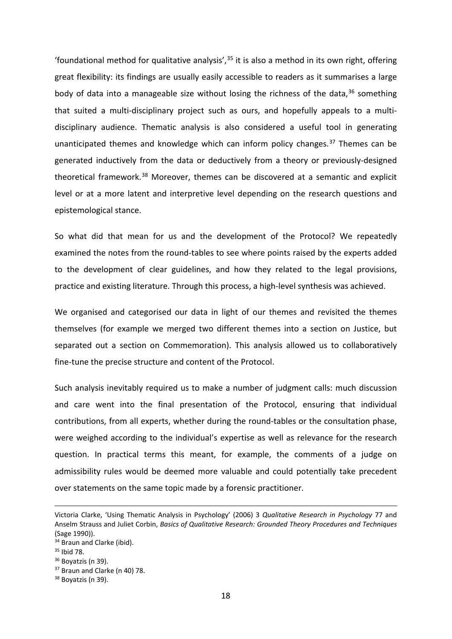'foundational method for qualitative analysis',  $35$  it is also a method in its own right, offering great flexibility: its findings are usually easily accessible to readers as it summarises a large body of data into a manageable size without losing the richness of the data,<sup>[36](#page-17-1)</sup> something that suited a multi-disciplinary project such as ours, and hopefully appeals to a multidisciplinary audience. Thematic analysis is also considered a useful tool in generating unanticipated themes and knowledge which can inform policy changes. $37$  Themes can be generated inductively from the data or deductively from a theory or previously-designed theoretical framework.<sup>[38](#page-17-3)</sup> Moreover, themes can be discovered at a semantic and explicit level or at a more latent and interpretive level depending on the research questions and epistemological stance.

So what did that mean for us and the development of the Protocol? We repeatedly examined the notes from the round-tables to see where points raised by the experts added to the development of clear guidelines, and how they related to the legal provisions, practice and existing literature. Through this process, a high-level synthesis was achieved.

We organised and categorised our data in light of our themes and revisited the themes themselves (for example we merged two different themes into a section on Justice, but separated out a section on Commemoration). This analysis allowed us to collaboratively fine-tune the precise structure and content of the Protocol.

Such analysis inevitably required us to make a number of judgment calls: much discussion and care went into the final presentation of the Protocol, ensuring that individual contributions, from all experts, whether during the round-tables or the consultation phase, were weighed according to the individual's expertise as well as relevance for the research question. In practical terms this meant, for example, the comments of a judge on admissibility rules would be deemed more valuable and could potentially take precedent over statements on the same topic made by a forensic practitioner.

Victoria Clarke, 'Using Thematic Analysis in Psychology' (2006) 3 *Qualitative Research in Psychology* 77 and Anselm Strauss and Juliet Corbin, *Basics of Qualitative Research: Grounded Theory Procedures and Techniques*  (Sage 1990)).

<sup>&</sup>lt;sup>34</sup> Braun and Clarke (ibid).

<span id="page-17-0"></span><sup>35</sup> Ibid 78.

<span id="page-17-1"></span> $36$  Boyatzis (n 39).

<span id="page-17-2"></span><sup>&</sup>lt;sup>37</sup> Braun and Clarke (n 40) 78.

<span id="page-17-3"></span><sup>&</sup>lt;sup>38</sup> Bovatzis (n 39).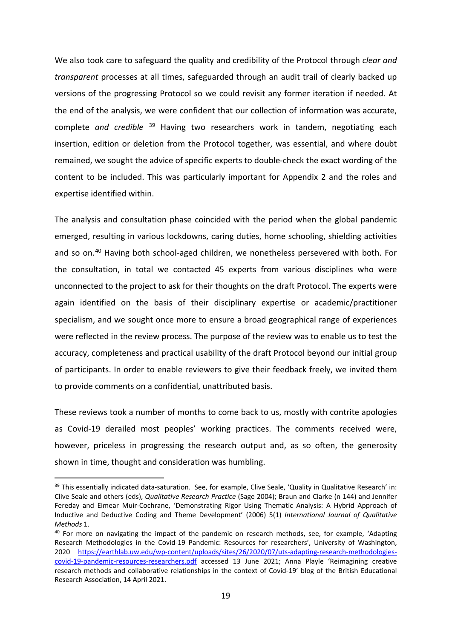We also took care to safeguard the quality and credibility of the Protocol through *clear and transparent* processes at all times, safeguarded through an audit trail of clearly backed up versions of the progressing Protocol so we could revisit any former iteration if needed. At the end of the analysis, we were confident that our collection of information was accurate, complete *and credible* [39](#page-18-0) Having two researchers work in tandem, negotiating each insertion, edition or deletion from the Protocol together, was essential, and where doubt remained, we sought the advice of specific experts to double-check the exact wording of the content to be included. This was particularly important for Appendix 2 and the roles and expertise identified within.

The analysis and consultation phase coincided with the period when the global pandemic emerged, resulting in various lockdowns, caring duties, home schooling, shielding activities and so on.<sup>[40](#page-18-1)</sup> Having both school-aged children, we nonetheless persevered with both. For the consultation, in total we contacted 45 experts from various disciplines who were unconnected to the project to ask for their thoughts on the draft Protocol. The experts were again identified on the basis of their disciplinary expertise or academic/practitioner specialism, and we sought once more to ensure a broad geographical range of experiences were reflected in the review process. The purpose of the review was to enable us to test the accuracy, completeness and practical usability of the draft Protocol beyond our initial group of participants. In order to enable reviewers to give their feedback freely, we invited them to provide comments on a confidential, unattributed basis.

These reviews took a number of months to come back to us, mostly with contrite apologies as Covid-19 derailed most peoples' working practices. The comments received were, however, priceless in progressing the research output and, as so often, the generosity shown in time, thought and consideration was humbling.

<span id="page-18-0"></span><sup>39</sup> This essentially indicated data-saturation. See, for example, Clive Seale, 'Quality in Qualitative Research' in: Clive Seale and others (eds), *Qualitative Research Practice* (Sage 2004); Braun and Clarke (n 144) and Jennifer Fereday and Eimear Muir-Cochrane, 'Demonstrating Rigor Using Thematic Analysis: A Hybrid Approach of Inductive and Deductive Coding and Theme Development' (2006) 5(1) *International Journal of Qualitative Methods* 1.

<span id="page-18-1"></span><sup>&</sup>lt;sup>40</sup> For more on navigating the impact of the pandemic on research methods, see, for example, 'Adapting Research Methodologies in the Covid-19 Pandemic: Resources for researchers', University of Washington, 2020 [https://earthlab.uw.edu/wp-content/uploads/sites/26/2020/07/uts-adapting-research-methodologies](https://earthlab.uw.edu/wp-content/uploads/sites/26/2020/07/uts-adapting-research-methodologies-covid-19-pandemic-resources-researchers.pdf)[covid-19-pandemic-resources-researchers.pdf](https://earthlab.uw.edu/wp-content/uploads/sites/26/2020/07/uts-adapting-research-methodologies-covid-19-pandemic-resources-researchers.pdf) accessed 13 June 2021; Anna Playle 'Reimagining creative research methods and collaborative relationships in the context of Covid-19' blog of the British Educational Research Association, 14 April 2021.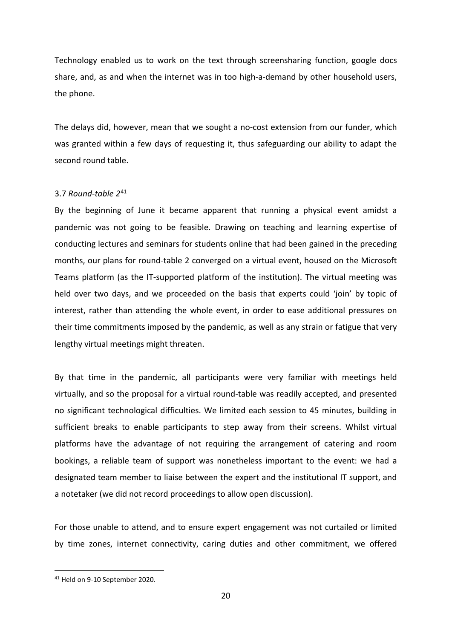Technology enabled us to work on the text through screensharing function, google docs share, and, as and when the internet was in too high-a-demand by other household users, the phone.

The delays did, however, mean that we sought a no-cost extension from our funder, which was granted within a few days of requesting it, thus safeguarding our ability to adapt the second round table.

# 3.7 *Round-table 2*[41](#page-19-0)

By the beginning of June it became apparent that running a physical event amidst a pandemic was not going to be feasible. Drawing on teaching and learning expertise of conducting lectures and seminars for students online that had been gained in the preceding months, our plans for round-table 2 converged on a virtual event, housed on the Microsoft Teams platform (as the IT-supported platform of the institution). The virtual meeting was held over two days, and we proceeded on the basis that experts could 'join' by topic of interest, rather than attending the whole event, in order to ease additional pressures on their time commitments imposed by the pandemic, as well as any strain or fatigue that very lengthy virtual meetings might threaten.

By that time in the pandemic, all participants were very familiar with meetings held virtually, and so the proposal for a virtual round-table was readily accepted, and presented no significant technological difficulties. We limited each session to 45 minutes, building in sufficient breaks to enable participants to step away from their screens. Whilst virtual platforms have the advantage of not requiring the arrangement of catering and room bookings, a reliable team of support was nonetheless important to the event: we had a designated team member to liaise between the expert and the institutional IT support, and a notetaker (we did not record proceedings to allow open discussion).

For those unable to attend, and to ensure expert engagement was not curtailed or limited by time zones, internet connectivity, caring duties and other commitment, we offered

<span id="page-19-0"></span><sup>41</sup> Held on 9-10 September 2020.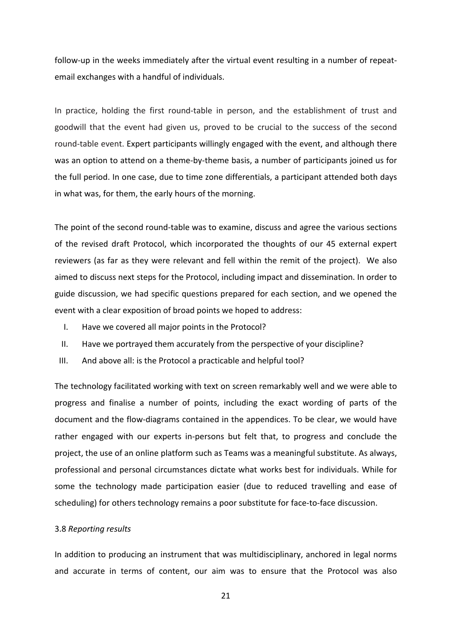follow-up in the weeks immediately after the virtual event resulting in a number of repeatemail exchanges with a handful of individuals.

In practice, holding the first round-table in person, and the establishment of trust and goodwill that the event had given us, proved to be crucial to the success of the second round-table event. Expert participants willingly engaged with the event, and although there was an option to attend on a theme-by-theme basis, a number of participants joined us for the full period. In one case, due to time zone differentials, a participant attended both days in what was, for them, the early hours of the morning.

The point of the second round-table was to examine, discuss and agree the various sections of the revised draft Protocol, which incorporated the thoughts of our 45 external expert reviewers (as far as they were relevant and fell within the remit of the project). We also aimed to discuss next steps for the Protocol, including impact and dissemination. In order to guide discussion, we had specific questions prepared for each section, and we opened the event with a clear exposition of broad points we hoped to address:

- I. Have we covered all major points in the Protocol?
- II. Have we portrayed them accurately from the perspective of your discipline?
- III. And above all: is the Protocol a practicable and helpful tool?

The technology facilitated working with text on screen remarkably well and we were able to progress and finalise a number of points, including the exact wording of parts of the document and the flow-diagrams contained in the appendices. To be clear, we would have rather engaged with our experts in-persons but felt that, to progress and conclude the project, the use of an online platform such as Teams was a meaningful substitute. As always, professional and personal circumstances dictate what works best for individuals. While for some the technology made participation easier (due to reduced travelling and ease of scheduling) for others technology remains a poor substitute for face-to-face discussion.

#### 3.8 *Reporting results*

In addition to producing an instrument that was multidisciplinary, anchored in legal norms and accurate in terms of content, our aim was to ensure that the Protocol was also

21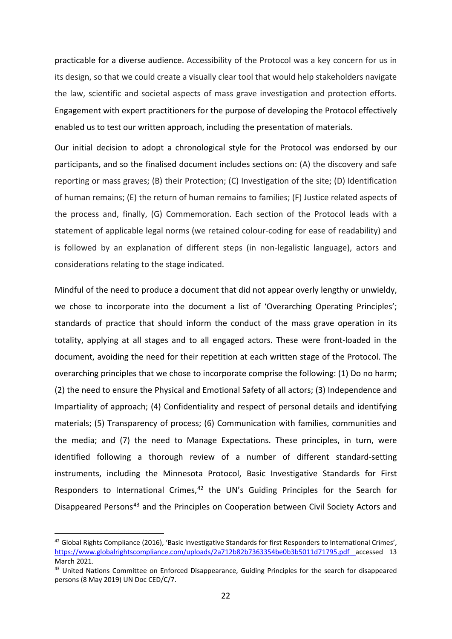practicable for a diverse audience. Accessibility of the Protocol was a key concern for us in its design, so that we could create a visually clear tool that would help stakeholders navigate the law, scientific and societal aspects of mass grave investigation and protection efforts. Engagement with expert practitioners for the purpose of developing the Protocol effectively enabled us to test our written approach, including the presentation of materials.

Our initial decision to adopt a chronological style for the Protocol was endorsed by our participants, and so the finalised document includes sections on: (A) the discovery and safe reporting or mass graves; (B) their Protection; (C) Investigation of the site; (D) Identification of human remains; (E) the return of human remains to families; (F) Justice related aspects of the process and, finally, (G) Commemoration. Each section of the Protocol leads with a statement of applicable legal norms (we retained colour-coding for ease of readability) and is followed by an explanation of different steps (in non-legalistic language), actors and considerations relating to the stage indicated.

Mindful of the need to produce a document that did not appear overly lengthy or unwieldy, we chose to incorporate into the document a list of 'Overarching Operating Principles'; standards of practice that should inform the conduct of the mass grave operation in its totality, applying at all stages and to all engaged actors. These were front-loaded in the document, avoiding the need for their repetition at each written stage of the Protocol. The overarching principles that we chose to incorporate comprise the following: (1) Do no harm; (2) the need to ensure the Physical and Emotional Safety of all actors; (3) Independence and Impartiality of approach; (4) Confidentiality and respect of personal details and identifying materials; (5) Transparency of process; (6) Communication with families, communities and the media; and (7) the need to Manage Expectations. These principles, in turn, were identified following a thorough review of a number of different standard-setting instruments, including the Minnesota Protocol, Basic Investigative Standards for First Responders to International Crimes,<sup>[42](#page-21-0)</sup> the UN's Guiding Principles for the Search for Disappeared Persons<sup>[43](#page-21-1)</sup> and the Principles on Cooperation between Civil Society Actors and

<span id="page-21-0"></span><sup>&</sup>lt;sup>42</sup> Global Rights Compliance (2016), 'Basic Investigative Standards for first Responders to International Crimes', <https://www.globalrightscompliance.com/uploads/2a712b82b7363354be0b3b5011d71795.pdf> accessed 13 March 2021.

<span id="page-21-1"></span><sup>43</sup> United Nations Committee on Enforced Disappearance, Guiding Principles for the search for disappeared persons (8 May 2019) UN Doc CED/C/7.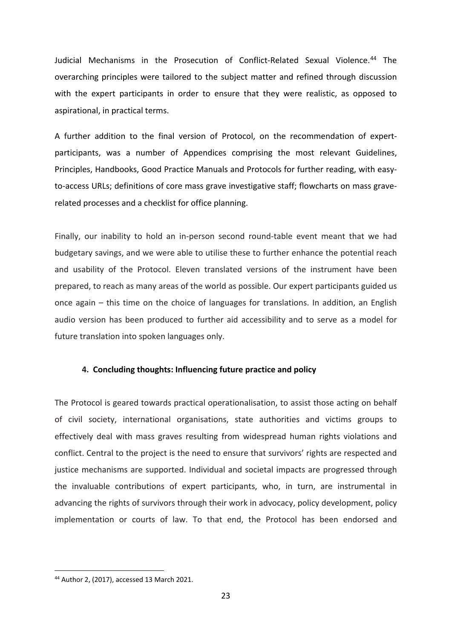Judicial Mechanisms in the Prosecution of Conflict-Related Sexual Violence.<sup>[44](#page-22-0)</sup> The overarching principles were tailored to the subject matter and refined through discussion with the expert participants in order to ensure that they were realistic, as opposed to aspirational, in practical terms.

A further addition to the final version of Protocol, on the recommendation of expertparticipants, was a number of Appendices comprising the most relevant Guidelines, Principles, Handbooks, Good Practice Manuals and Protocols for further reading, with easyto-access URLs; definitions of core mass grave investigative staff; flowcharts on mass graverelated processes and a checklist for office planning.

Finally, our inability to hold an in-person second round-table event meant that we had budgetary savings, and we were able to utilise these to further enhance the potential reach and usability of the Protocol. Eleven translated versions of the instrument have been prepared, to reach as many areas of the world as possible. Our expert participants guided us once again – this time on the choice of languages for translations. In addition, an English audio version has been produced to further aid accessibility and to serve as a model for future translation into spoken languages only.

## **4. Concluding thoughts: Influencing future practice and policy**

The Protocol is geared towards practical operationalisation, to assist those acting on behalf of civil society, international organisations, state authorities and victims groups to effectively deal with mass graves resulting from widespread human rights violations and conflict. Central to the project is the need to ensure that survivors' rights are respected and justice mechanisms are supported. Individual and societal impacts are progressed through the invaluable contributions of expert participants, who, in turn, are instrumental in advancing the rights of survivors through their work in advocacy, policy development, policy implementation or courts of law. To that end, the Protocol has been endorsed and

<span id="page-22-0"></span><sup>44</sup> Author 2, (2017), accessed 13 March 2021.